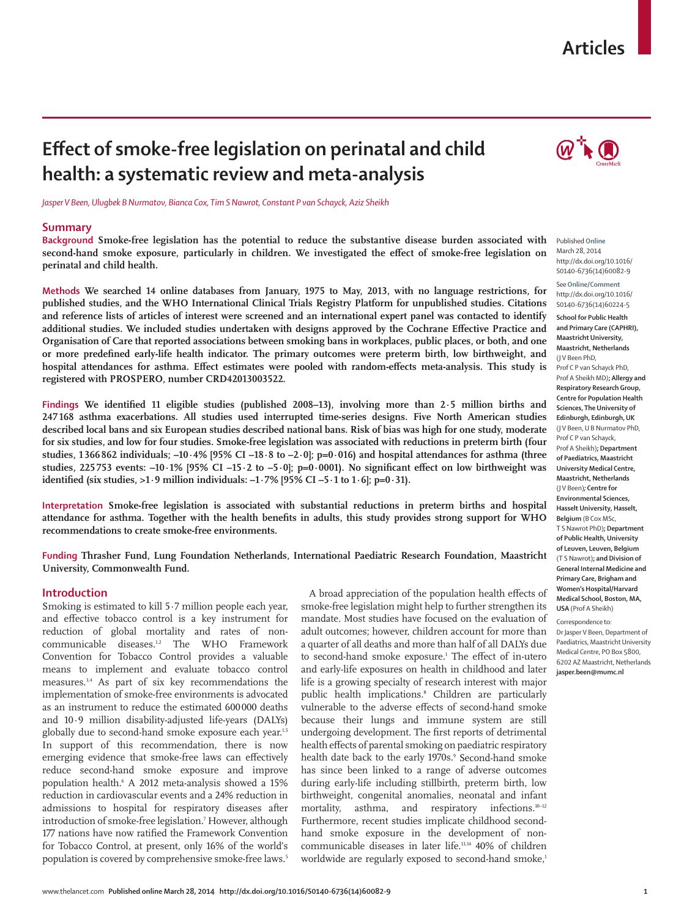# **Articles**

# **Effect of smoke-free legislation on perinatal and child health: a systematic review and meta-analysis**



### **Summary**

**Background Smoke-free legislation has the potential to reduce the substantive disease burden associated with**  second-hand smoke exposure, particularly in children. We investigated the effect of smoke-free legislation on **perinatal and child health.**

**Methods We searched 14 online databases from January, 1975 to May, 2013, with no language restrictions, for published studies, and the WHO International Clinical Trials Registry Platform for unpublished studies. Citations and reference lists of articles of interest were screened and an international expert panel was contacted to identify**  additional studies. We included studies undertaken with designs approved by the Cochrane Effective Practice and **Organisation of Care that reported associations between smoking bans in workplaces, public places, or both, and one**  or more predefined early-life health indicator. The primary outcomes were preterm birth, low birthweight, and hospital attendances for asthma. Effect estimates were pooled with random-effects meta-analysis. This study is **registered with PROSPERO, number CRD42013003522.**

**Findings We identified 11 eligible studies (published 2008–13), involving more than 2·5 million births and 247 168 asthma exacerbations. All studies used interrupted time-series designs. Five North American studies described local bans and six European studies described national bans. Risk of bias was high for one study, moderate for six studies, and low for four studies. Smoke-free legislation was associated with reductions in preterm birth (four studies, 1 366 862 individuals; –10·4% [95% CI –18·8 to –2·0]; p=0·016) and hospital attendances for asthma (three**  studies, 225 753 events:  $-10.1\%$  [95% CI  $-15.2$  to  $-5.0$ ];  $p=0.0001$ ). No significant effect on low birthweight was **identified** (six studies,  $>1.9$  million individuals:  $-1.7\%$  [95% CI  $-5.1$  to  $1.6$ ]; p=0.31).

**Interpretation Smoke-free legislation is associated with substantial reductions in preterm births and hospital**  attendance for asthma. Together with the health benefits in adults, this study provides strong support for WHO **recommendations to create smoke-free environments.**

**Funding Thrasher Fund, Lung Foundation Netherlands, International Paediatric Research Foundation, Maastricht University, Commonwealth Fund.**

## **Introduction**

Smoking is estimated to kill 5·7 million people each year, and effective tobacco control is a key instrument for reduction of global mortality and rates of noncommunicable diseases.<sup>1,2</sup> The WHO Framework Convention for Tobacco Control provides a valuable means to implement and evaluate tobacco control measures.3,4 As part of six key recommendations the implementation of smoke-free environments is advocated as an instrument to reduce the estimated 600 000 deaths and 10·9 million disability-adjusted life-years (DALYs) globally due to second-hand smoke exposure each year.<sup>1,5</sup> In support of this recommendation, there is now emerging evidence that smoke-free laws can effectively reduce second-hand smoke exposure and improve population health.6 A 2012 meta-analysis showed a 15% reduction in cardiovascular events and a 24% reduction in admissions to hospital for respiratory diseases after introduction of smoke-free legislation.7 However, although 177 nations have now ratified the Framework Convention for Tobacco Control, at present, only 16% of the world's population is covered by comprehensive smoke-free laws.<sup>5</sup>

A broad appreciation of the population health effects of smoke-free legislation might help to further strengthen its mandate. Most studies have focused on the evaluation of adult outcomes; however, children account for more than a quarter of all deaths and more than half of all DALYs due to second-hand smoke exposure.<sup>1</sup> The effect of in-utero and early-life exposures on health in childhood and later life is a growing specialty of research interest with major public health implications.8 Children are particularly vulnerable to the adverse effects of second-hand smoke because their lungs and immune system are still undergoing development. The first reports of detrimental health effects of parental smoking on paediatric respiratory health date back to the early 1970s.<sup>9</sup> Second-hand smoke has since been linked to a range of adverse outcomes during early-life including stillbirth, preterm birth, low birthweight, congenital anomalies, neonatal and infant mortality, asthma, and respiratory infections.<sup>10-12</sup> Furthermore, recent studies implicate childhood secondhand smoke exposure in the development of noncommunicable diseases in later life.13,14 40% of children worldwide are regularly exposed to second-hand smoke,<sup>1</sup>



Published **Online** March 28, 2014 http://dx.doi.org/10.1016/ S0140-6736(14)60082-9

See**Online/Comment** http://dx.doi.org/10.1016/ S0140-6736(14)60224-5

**School for Public Health and Primary Care (CAPHRI), Maastricht University, Maastricht, Netherlands**  (J V Been PhD,

Prof C P van Schayck PhD, Prof A Sheikh MD*)***; Allergy and Respiratory Research Group, Centre for Population Health Sciences, The University of Edinburgh, Edinburgh, UK**  (J V Been, U B Nurmatov PhD, Prof C P van Schayck, Prof A Sheikh)**; Department of Paediatrics, Maastricht University Medical Centre, Maastricht, Netherlands**  (J V Been)*;* **Centre for Environmental Sciences, Hasselt University, Hasselt, Belgium** (B Cox MSc, T S Nawrot PhD)**; Department of Public Health, University of Leuven, Leuven, Belgium**  (T S Nawrot)**; and Division of General Internal Medicine and Primary Care, Brigham and Women's Hospital/Harvard Medical School, Boston, MA, USA** (Prof A Sheikh)

Correspondence to:

Dr Jasper V Been, Department of Paediatrics, Maastricht University Medical Centre, PO Box 5800, 6202 AZ Maastricht, Netherlands **jasper.been@mumc.nl**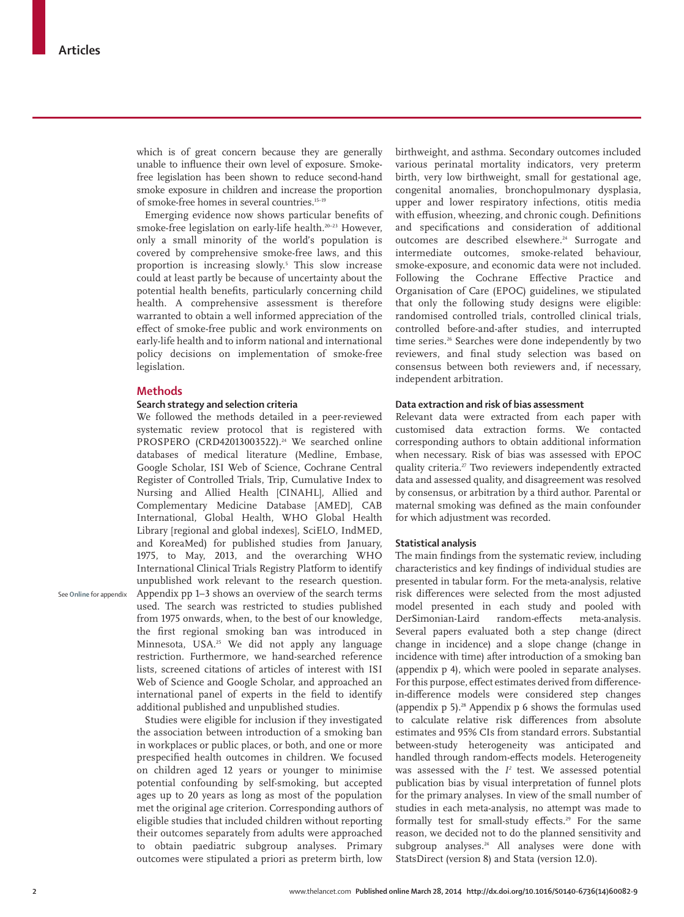which is of great concern because they are generally unable to influence their own level of exposure. Smokefree legislation has been shown to reduce second-hand smoke exposure in children and increase the proportion of smoke-free homes in several countries.15–19

Emerging evidence now shows particular benefits of smoke-free legislation on early-life health.<sup>20-23</sup> However, only a small minority of the world's population is covered by comprehensive smoke-free laws, and this proportion is increasing slowly.5 This slow increase could at least partly be because of uncertainty about the potential health benefits, particularly concerning child health. A comprehensive assessment is therefore warranted to obtain a well informed appreciation of the effect of smoke-free public and work environments on early-life health and to inform national and international policy decisions on implementation of smoke-free legislation.

## **Methods**

# **Search strategy and selection criteria**

We followed the methods detailed in a peer-reviewed systematic review protocol that is registered with PROSPERO (CRD42013003522).<sup>24</sup> We searched online databases of medical literature (Medline, Embase, Google Scholar, ISI Web of Science, Cochrane Central Register of Controlled Trials, Trip, Cumulative Index to Nursing and Allied Health [CINAHL], Allied and Complementary Medicine Database [AMED], CAB International, Global Health, WHO Global Health Library [regional and global indexes], SciELO, IndMED, and KoreaMed) for published studies from January, 1975, to May, 2013, and the overarching WHO International Clinical Trials Registry Platform to identify unpublished work relevant to the research question. Appendix pp 1–3 shows an overview of the search terms used. The search was restricted to studies published from 1975 onwards, when, to the best of our knowledge, the first regional smoking ban was introduced in Minnesota, USA.25 We did not apply any language restriction. Furthermore, we hand-searched reference lists, screened citations of articles of interest with ISI Web of Science and Google Scholar, and approached an international panel of experts in the field to identify additional published and unpublished studies.

Studies were eligible for inclusion if they investigated the association between introduction of a smoking ban in workplaces or public places, or both, and one or more prespecified health outcomes in children. We focused on children aged 12 years or younger to minimise potential confounding by self-smoking, but accepted ages up to 20 years as long as most of the population met the original age criterion. Corresponding authors of eligible studies that included children without reporting their outcomes separately from adults were approached to obtain paediatric subgroup analyses. Primary outcomes were stipulated a priori as preterm birth, low birthweight, and asthma. Secondary outcomes included various perinatal mortality indicators, very preterm birth, very low birthweight, small for gestational age, congenital anomalies, bronchopulmonary dysplasia, upper and lower respiratory infections, otitis media with effusion, wheezing, and chronic cough. Definitions and specifications and consideration of additional outcomes are described elsewhere.<sup>24</sup> Surrogate and intermediate outcomes, smoke-related behaviour, smoke-exposure, and economic data were not included. Following the Cochrane Effective Practice and Organisation of Care (EPOC) guidelines, we stipulated that only the following study designs were eligible: randomised controlled trials, controlled clinical trials, controlled before-and-after studies, and interrupted time series.<sup>26</sup> Searches were done independently by two reviewers, and final study selection was based on consensus between both reviewers and, if necessary, independent arbitration.

# **Data extraction and risk of bias assessment**

Relevant data were extracted from each paper with customised data extraction forms. We contacted corresponding authors to obtain additional information when necessary. Risk of bias was assessed with EPOC quality criteria.<sup>27</sup> Two reviewers independently extracted data and assessed quality, and disagreement was resolved by consensus, or arbitration by a third author. Parental or maternal smoking was defined as the main confounder for which adjustment was recorded.

### **Statistical analysis**

The main findings from the systematic review, including characteristics and key findings of individual studies are presented in tabular form. For the meta-analysis, relative risk differences were selected from the most adjusted model presented in each study and pooled with DerSimonian-Laird random-effects meta-analysis. Several papers evaluated both a step change (direct change in incidence) and a slope change (change in incidence with time) after introduction of a smoking ban (appendix p 4), which were pooled in separate analyses. For this purpose, effect estimates derived from differencein-difference models were considered step changes (appendix  $p 5$ ).<sup>28</sup> Appendix  $p 6$  shows the formulas used to calculate relative risk differences from absolute estimates and 95% CIs from standard errors. Substantial between-study heterogeneity was anticipated and handled through random-effects models. Heterogeneity was assessed with the  $I<sup>2</sup>$  test. We assessed potential publication bias by visual interpretation of funnel plots for the primary analyses. In view of the small number of studies in each meta-analysis, no attempt was made to formally test for small-study effects.<sup>29</sup> For the same reason, we decided not to do the planned sensitivity and subgroup analyses.<sup>24</sup> All analyses were done with StatsDirect (version 8) and Stata (version 12.0).

**2** www.thelancet.com**Published online March 28, 2014 http://dx.doi.org/10.1016/S0140-6736(14)60082-9**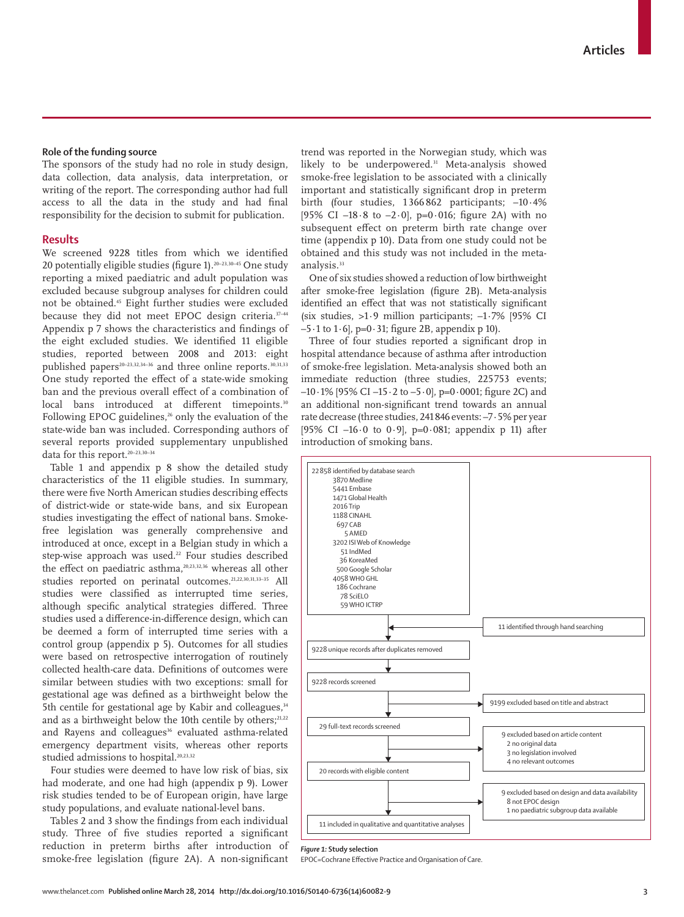## **Role of the funding source**

The sponsors of the study had no role in study design, data collection, data analysis, data interpretation, or writing of the report. The corresponding author had full access to all the data in the study and had final responsibility for the decision to submit for publication.

# **Results**

We screened 9228 titles from which we identified 20 potentially eligible studies (figure 1).<sup>20-23,30-45</sup> One study reporting a mixed paediatric and adult population was excluded because subgroup analyses for children could not be obtained.45 Eight further studies were excluded because they did not meet EPOC design criteria.<sup>37-44</sup> Appendix p 7 shows the characteristics and findings of the eight excluded studies. We identified 11 eligible studies, reported between 2008 and 2013: eight published papers<sup>20-23,32,34-36</sup> and three online reports.<sup>30,31,33</sup> One study reported the effect of a state-wide smoking ban and the previous overall effect of a combination of local bans introduced at different timepoints.<sup>30</sup> Following EPOC guidelines,<sup>26</sup> only the evaluation of the state-wide ban was included. Corresponding authors of several reports provided supplementary unpublished data for this report.<sup>20-23,30-34</sup>

Table 1 and appendix p 8 show the detailed study characteristics of the 11 eligible studies. In summary, there were five North American studies describing effects of district-wide or state-wide bans, and six European studies investigating the effect of national bans. Smokefree legislation was generally comprehensive and introduced at once, except in a Belgian study in which a step-wise approach was used.<sup>22</sup> Four studies described the effect on paediatric asthma, $20,23,32,36$  whereas all other studies reported on perinatal outcomes.21,22,30,31,33–35 All studies were classified as interrupted time series, although specific analytical strategies differed. Three studies used a difference-in-difference design, which can be deemed a form of interrupted time series with a control group (appendix p 5). Outcomes for all studies were based on retrospective interrogation of routinely collected health-care data. Definitions of outcomes were similar between studies with two exceptions: small for gestational age was defined as a birthweight below the 5th centile for gestational age by Kabir and colleagues,<sup>34</sup> and as a birthweight below the 10th centile by others;<sup>21,22</sup> and Rayens and colleagues<sup>36</sup> evaluated asthma-related emergency department visits, whereas other reports studied admissions to hospital.<sup>20,23,32</sup>

Four studies were deemed to have low risk of bias, six had moderate, and one had high (appendix p 9). Lower risk studies tended to be of European origin, have large study populations, and evaluate national-level bans.

Tables 2 and 3 show the findings from each individual study. Three of five studies reported a significant reduction in preterm births after introduction of smoke-free legislation (figure 2A). A non-significant

trend was reported in the Norwegian study, which was likely to be underpowered.<sup>31</sup> Meta-analysis showed smoke-free legislation to be associated with a clinically important and statistically significant drop in preterm birth (four studies, 1 366 862 participants; –10·4% [95% CI –18 $\cdot$ 8 to –2 $\cdot$ 0], p=0 $\cdot$ 016; figure 2A) with no subsequent effect on preterm birth rate change over time (appendix p 10). Data from one study could not be obtained and this study was not included in the metaanalysis.<sup>33</sup>

One of six studies showed a reduction of low birthweight after smoke-free legislation (figure 2B). Meta-analysis identified an effect that was not statistically significant (six studies, >1·9 million participants; –1·7% [95% CI  $-5.1$  to  $1.6$ ], p=0.31; figure 2B, appendix p 10).

Three of four studies reported a significant drop in hospital attendance because of asthma after introduction of smoke-free legislation. Meta-analysis showed both an immediate reduction (three studies, 225753 events;  $-10.1\%$  [95% CI –15 $\cdot$  2 to –5 $\cdot$ 0], p=0 $\cdot$ 0001; figure 2C) and an additional non-significant trend towards an annual rate decrease (three studies, 241 846 events: –7·5% per year [95% CI –16 $0$  to 0 $0.9$ ], p=0 $0.081$ ; appendix p 11) after introduction of smoking bans.



*Figure 1:* **Study selection**

EPOC=Cochrane Effective Practice and Organisation of Care.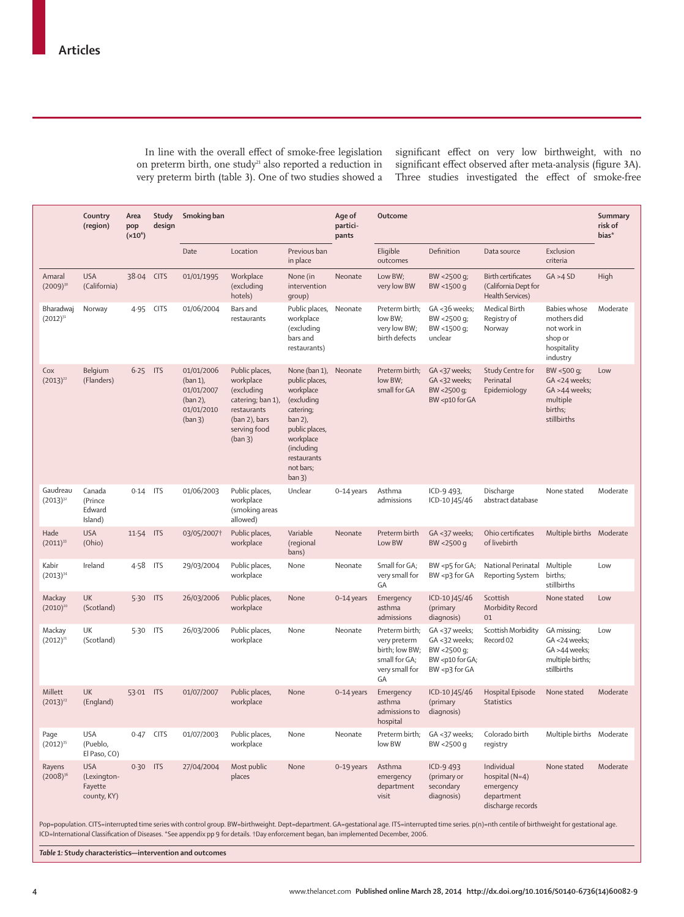In line with the overall effect of smoke-free legislation on preterm birth, one study<sup>21</sup> also reported a reduction in very preterm birth (table 3). One of two studies showed a

significant effect on very low birthweight, with no significant effect observed after meta-analysis (figure 3A). Three studies investigated the effect of smoke-free

|                            | Country<br>(region)                                 | Area<br>pop<br>$(x10^6)$ | Study<br>design | Smoking ban                                                                  |                                                                                                                           |                                                                                                                                                                                 | Age of<br>partici-<br>pants | Outcome                                                                                   |                                                                                                                                                                                                                                                                                 |                                                                                                                                                                                                                                                                                           |                                                                                         | Summary<br>risk of<br>bias* |
|----------------------------|-----------------------------------------------------|--------------------------|-----------------|------------------------------------------------------------------------------|---------------------------------------------------------------------------------------------------------------------------|---------------------------------------------------------------------------------------------------------------------------------------------------------------------------------|-----------------------------|-------------------------------------------------------------------------------------------|---------------------------------------------------------------------------------------------------------------------------------------------------------------------------------------------------------------------------------------------------------------------------------|-------------------------------------------------------------------------------------------------------------------------------------------------------------------------------------------------------------------------------------------------------------------------------------------|-----------------------------------------------------------------------------------------|-----------------------------|
|                            |                                                     |                          |                 | Date                                                                         | Location                                                                                                                  | Previous ban<br>in place                                                                                                                                                        |                             | Eligible<br>outcomes                                                                      | Definition                                                                                                                                                                                                                                                                      | Data source                                                                                                                                                                                                                                                                               | Exclusion<br>criteria                                                                   |                             |
| Amaral<br>$(2009)^{30}$    | <b>USA</b><br>(California)                          | 38.04 CITS               |                 | 01/01/1995                                                                   | Workplace<br>(excluding<br>hotels)                                                                                        | None (in<br>intervention<br>group)                                                                                                                                              | Neonate                     | Low BW;<br>very low BW                                                                    | BW <2500 g;<br>BW <1500 q                                                                                                                                                                                                                                                       | <b>Birth certificates</b><br>(California Dept for<br>Health Services)                                                                                                                                                                                                                     | GA > 4 SD                                                                               | High                        |
| Bharadwaj<br>$(2012)^{31}$ | Norway                                              | 4.95                     | <b>CITS</b>     | 01/06/2004                                                                   | Bars and<br>restaurants                                                                                                   | Public places,<br>workplace<br>(excluding<br>bars and<br>restaurants)                                                                                                           | Neonate                     | Preterm birth;<br>low BW;<br>very low BW;<br>birth defects                                | GA <36 weeks;<br>BW <2500 g;<br>BW <1500 q;<br>unclear                                                                                                                                                                                                                          | Medical Birth<br>Registry of<br>Norway                                                                                                                                                                                                                                                    | <b>Babies whose</b><br>mothers did<br>not work in<br>shop or<br>hospitality<br>industry | Moderate                    |
| Cox<br>$(2013)^{22}$       | Belgium<br>(Flanders)                               | $6.25$ ITS               |                 | 01/01/2006<br>$(ban 1)$ ,<br>01/01/2007<br>(ban 2),<br>01/01/2010<br>(ban 3) | Public places,<br>workplace<br>(excluding<br>catering; ban 1),<br>restaurants<br>(ban 2), bars<br>serving food<br>(ban 3) | None (ban 1),<br>public places,<br>workplace<br>(excluding<br>catering;<br>ban 2),<br>public places,<br>workplace<br>(including<br>restaurants<br>not bars;<br>ban <sub>3</sub> | Neonate                     | Preterm birth:<br>low BW;<br>small for GA                                                 | GA <37 weeks;<br>GA <32 weeks;<br>BW <2500 g;<br>BW <p10 for="" ga<="" td=""><td>Study Centre for<br/>Perinatal<br/>Epidemiology</td><td>BW &lt;500 q;<br/>GA &lt;24 weeks;<br/>GA &gt;44 weeks;<br/>multiple<br/>births;<br/>stillbirths</td><td>Low</td></p10>                | Study Centre for<br>Perinatal<br>Epidemiology                                                                                                                                                                                                                                             | BW <500 q;<br>GA <24 weeks;<br>GA >44 weeks;<br>multiple<br>births;<br>stillbirths      | Low                         |
| Gaudreau<br>$(2013)^{32}$  | Canada<br>(Prince<br>Edward<br>Island)              | 0.14                     | <b>ITS</b>      | 01/06/2003                                                                   | Public places,<br>workplace<br>(smoking areas<br>allowed)                                                                 | Unclear                                                                                                                                                                         | 0-14 years                  | Asthma<br>admissions                                                                      | ICD-9 493,<br>ICD-10 J45/46                                                                                                                                                                                                                                                     | Discharge<br>abstract database                                                                                                                                                                                                                                                            | None stated                                                                             | Moderate                    |
| Hade<br>$(2011)^{33}$      | <b>USA</b><br>(Ohio)                                | 11.54 ITS                |                 | 03/05/2007†                                                                  | Public places,<br>workplace                                                                                               | Variable<br>(regional<br>bans)                                                                                                                                                  | Neonate                     | Preterm birth<br>Low BW                                                                   | GA <37 weeks;<br>BW <2500 g                                                                                                                                                                                                                                                     | Ohio certificates<br>of livebirth                                                                                                                                                                                                                                                         | Multiple births Moderate                                                                |                             |
| Kabir<br>$(2013)^{34}$     | Ireland                                             | 4.58 ITS                 |                 | 29/03/2004                                                                   | Public places,<br>workplace                                                                                               | None                                                                                                                                                                            | Neonate                     | Small for GA;<br>very small for<br>GA                                                     | BW <p5 for="" ga;<br="">BW <p3 for="" ga<="" td=""><td>National Perinatal<br/>Reporting System</td><td>Multiple<br/>births;<br/>stillbirths</td><td>Low</td></p3></p5>                                                                                                          | National Perinatal<br>Reporting System                                                                                                                                                                                                                                                    | Multiple<br>births;<br>stillbirths                                                      | Low                         |
| Mackay<br>$(2010)^{20}$    | UK<br>(Scotland)                                    | 5.30                     | <b>ITS</b>      | 26/03/2006                                                                   | Public places,<br>workplace                                                                                               | None                                                                                                                                                                            | 0-14 years                  | Emergency<br>asthma<br>admissions                                                         | ICD-10 J45/46<br>(primary<br>diagnosis)                                                                                                                                                                                                                                         | Scottish<br>Morbidity Record<br>01                                                                                                                                                                                                                                                        | None stated                                                                             | Low                         |
| Mackay<br>$(2012)^{21}$    | UK<br>(Scotland)                                    | 5.30                     | <b>ITS</b>      | 26/03/2006                                                                   | Public places,<br>workplace                                                                                               | None                                                                                                                                                                            | Neonate                     | Preterm birth;<br>very preterm<br>birth; low BW;<br>small for GA;<br>very small for<br>GA | GA <37 weeks;<br>GA <32 weeks;<br>BW <2500 q;<br>BW <p10 for="" ga;<br="">BW <p3 for="" ga<="" td=""><td><b>Scottish Morbidity</b><br/>Record 02</td><td>GA missing;<br/>GA &lt;24 weeks;<br/>GA &gt;44 weeks;<br/>multiple births;<br/>stillbirths</td><td>Low</td></p3></p10> | <b>Scottish Morbidity</b><br>Record 02                                                                                                                                                                                                                                                    | GA missing;<br>GA <24 weeks;<br>GA >44 weeks;<br>multiple births;<br>stillbirths        | Low                         |
| Millett<br>$(2013)^{23}$   | UK<br>(England)                                     | 53.01                    | <b>ITS</b>      | 01/07/2007                                                                   | Public places,<br>workplace                                                                                               | None                                                                                                                                                                            | $0-14$ years                | Emergency<br>asthma<br>admissions to<br>hospital                                          | ICD-10 J45/46<br>(primary<br>diagnosis)                                                                                                                                                                                                                                         | Hospital Episode<br>Statistics                                                                                                                                                                                                                                                            | None stated                                                                             | Moderate                    |
| Page<br>$(2012)^{35}$      | <b>USA</b><br>(Pueblo,<br>El Paso, CO)              |                          | 0.47 CITS       | 01/07/2003                                                                   | Public places,<br>workplace                                                                                               | None                                                                                                                                                                            | Neonate                     | Preterm birth;<br>low BW                                                                  | GA <37 weeks;<br>BW <2500 q                                                                                                                                                                                                                                                     | Colorado birth<br>registry                                                                                                                                                                                                                                                                | Multiple births Moderate                                                                |                             |
| Rayens<br>$(2008)^{36}$    | <b>USA</b><br>(Lexington-<br>Fayette<br>county, KY) | 0.30                     | <b>ITS</b>      | 27/04/2004                                                                   | Most public<br>places                                                                                                     | None                                                                                                                                                                            | $0-19$ years                | Asthma<br>emergency<br>department<br>visit                                                | ICD-9 493<br>(primary or<br>secondary<br>diagnosis)                                                                                                                                                                                                                             | Individual<br>hospital $(N=4)$<br>emergency<br>department<br>discharge records<br>Pop=population. CITS=interrupted time series with control group. BW=birthweight. Dept=department. GA=gestational age. ITS=interrupted time series. p(n)=nth centile of birthweight for gestational age. | None stated                                                                             | Moderate                    |

ICD=International Classifi cation of Diseases. \*See appendix pp 9 for details. †Day enforcement began, ban implemented December, 2006.

*Table 1:* **Study characteristics—intervention and outcomes**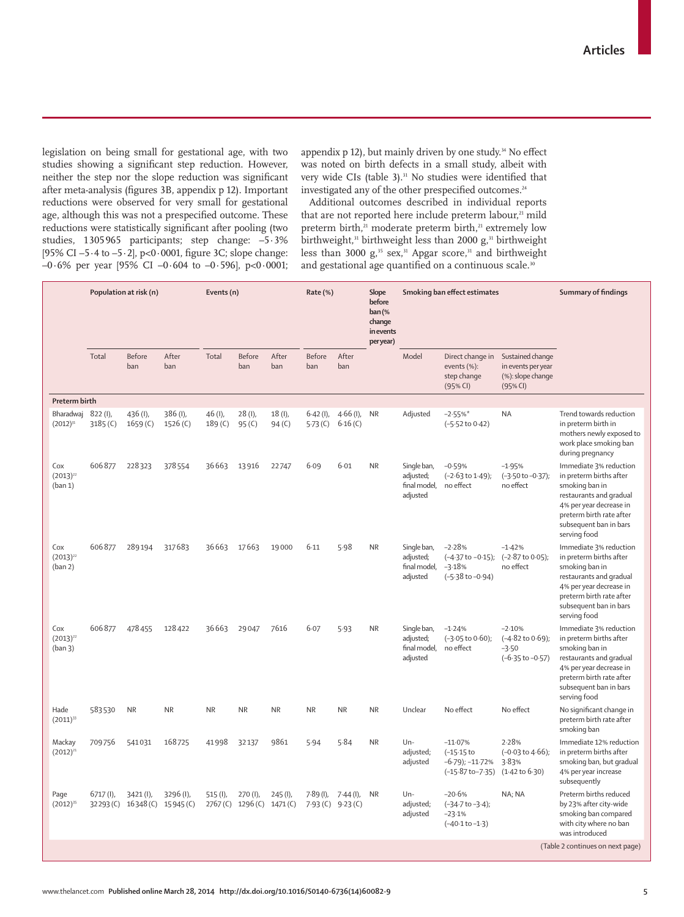legislation on being small for gestational age, with two studies showing a significant step reduction. However, neither the step nor the slope reduction was significant after meta-analysis (figures 3B, appendix p 12). Important reductions were observed for very small for gestational age, although this was not a prespecified outcome. These reductions were statistically significant after pooling (two studies, 1 305 965 participants; step change: –5·3% [95% CI –5 $\cdot$ 4 to –5 $\cdot$ 2], p<0 $\cdot$ 0001, figure 3C; slope change: –0·6% per year [95% CI –0·604 to –0·596], p<0·0001; appendix  $p$  12), but mainly driven by one study.<sup>34</sup> No effect was noted on birth defects in a small study, albeit with very wide CIs (table 3).<sup>31</sup> No studies were identified that investigated any of the other prespecified outcomes.<sup>24</sup>

Additional outcomes described in individual reports that are not reported here include preterm labour,<sup>21</sup> mild preterm birth,<sup>21</sup> moderate preterm birth,<sup>21</sup> extremely low birthweight,<sup>31</sup> birthweight less than 2000 g,<sup>31</sup> birthweight less than 3000  $g$ ,<sup>35</sup> sex,<sup>31</sup> Apgar score,<sup>31</sup> and birthweight and gestational age quantified on a continuous scale.<sup>30</sup>

|                                 |                         | Population at risk (n)                    |                        | Events (n)                    |                                          |                                | Rate (%)               |                                | Slope<br>before<br>ban (%<br>change<br>in events<br>per year) | <b>Smoking ban effect estimates</b>                  |                                                                                |                                                                                   | <b>Summary of findings</b>                                                                                                                                                                      |
|---------------------------------|-------------------------|-------------------------------------------|------------------------|-------------------------------|------------------------------------------|--------------------------------|------------------------|--------------------------------|---------------------------------------------------------------|------------------------------------------------------|--------------------------------------------------------------------------------|-----------------------------------------------------------------------------------|-------------------------------------------------------------------------------------------------------------------------------------------------------------------------------------------------|
|                                 | Total                   | Before<br>ban                             | After<br>ban           | Total                         | Before<br>ban                            | After<br>ban                   | Before<br>ban          | After<br>ban                   |                                                               | Model                                                | Direct change in<br>events (%):<br>step change<br>(95% CI)                     | Sustained change<br>in events per year<br>(%): slope change<br>(95% CI)           |                                                                                                                                                                                                 |
| Preterm birth                   |                         |                                           |                        |                               |                                          |                                |                        |                                |                                                               |                                                      |                                                                                |                                                                                   |                                                                                                                                                                                                 |
| Bharadwaj<br>$(2012)^{31}$      | $822 (I)$ ,<br>3185 (C) | 436 (I),<br>1659 <sup>(C)</sup>           | 386 (I),<br>1526 $(C)$ | 46 (I),<br>189 <sup>(C)</sup> | $28(1)$ ,<br>$95($ C)                    | $18(1)$ ,<br>94 <sup>(C)</sup> | $6.42$ (I),<br>5.73(C) | $4.66$ (I), NR<br>6.16(C)      |                                                               | Adjusted                                             | $-2.55%$<br>$(-5.52 \text{ to } 0.42)$                                         | <b>NA</b>                                                                         | Trend towards reduction<br>in preterm birth in<br>mothers newly exposed to<br>work place smoking ban<br>during pregnancy                                                                        |
| Cox<br>$(2013)^{22}$<br>(ban 1) | 606877                  | 228323                                    | 378 554                | 36663                         | 13916                                    | 22747                          | 6.09                   | 6.01                           | <b>NR</b>                                                     | Single ban,<br>adjusted;<br>final model,<br>adjusted | $-0.59%$<br>$(-2.63 \text{ to } 1.49);$<br>no effect                           | $-1.95%$<br>$(-3.50 \text{ to } -0.37);$<br>no effect                             | Immediate 3% reduction<br>in preterm births after<br>smoking ban in<br>restaurants and gradual<br>4% per year decrease in<br>preterm birth rate after<br>subsequent ban in bars<br>serving food |
| Cox<br>$(2013)^{22}$<br>(ban 2) | 606877                  | 289194                                    | 317683                 | 36663                         | 17663                                    | 19000                          | 6.11                   | 5.98                           | <b>NR</b>                                                     | Single ban,<br>adjusted;<br>final model,<br>adjusted | $-2.28%$<br>$(-4.37 \text{ to } -0.15);$<br>$-3.18%$<br>$(-5.38$ to $-0.94)$   | $-1.42%$<br>$(-2.87 \text{ to } 0.05);$<br>no effect                              | Immediate 3% reduction<br>in preterm births after<br>smoking ban in<br>restaurants and gradual<br>4% per year decrease in<br>preterm birth rate after<br>subsequent ban in bars<br>serving food |
| Cox<br>$(2013)^{22}$<br>(ban 3) | 606877                  | 478455                                    | 128422                 | 36663                         | 29047                                    | 7616                           | 6.07                   | 5.93                           | <b>NR</b>                                                     | Single ban,<br>adjusted;<br>final model,<br>adjusted | $-1.24%$<br>$(-3.05 \text{ to } 0.60);$<br>no effect                           | $-2.10%$<br>$(-4.82 \text{ to } 0.69);$<br>$-3.50$<br>$(-6.35 \text{ to } -0.57)$ | Immediate 3% reduction<br>in preterm births after<br>smoking ban in<br>restaurants and gradual<br>4% per year decrease in<br>preterm birth rate after<br>subsequent ban in bars<br>serving food |
| Hade<br>$(2011)^{33}$           | 583530                  | <b>NR</b>                                 | <b>NR</b>              | <b>NR</b>                     | <b>NR</b>                                | <b>NR</b>                      | <b>NR</b>              | <b>NR</b>                      | <b>NR</b>                                                     | Unclear                                              | No effect                                                                      | No effect                                                                         | No significant change in<br>preterm birth rate after<br>smoking ban                                                                                                                             |
| Mackay<br>$(2012)^{21}$         | 709756                  | 541031                                    | 168725                 | 41998                         | 32137                                    | 9861                           | 5.94                   | 5.84                           | <b>NR</b>                                                     | Un-<br>adjusted;<br>adjusted                         | $-11.07%$<br>$(-15.15)$<br>$-6.79$ ); $-11.72%$<br>$(-15.87 \text{ to} -7.35)$ | 2.28%<br>$(-0.03 \text{ to } 4.66)$ ;<br>3.83%<br>$(1.42 \text{ to } 6.30)$       | Immediate 12% reduction<br>in preterm births after<br>smoking ban, but gradual<br>4% per year increase<br>subsequently                                                                          |
| Page<br>$(2012)^{35}$           | $6717$ (I),             | 3421(I),<br>32293 (C) 16348 (C) 15945 (C) | 3296 (I),              | $515(1)$ ,                    | $270$ (I),<br>2767 (C) 1296 (C) 1471 (C) | 245 (l),                       | $7.89(1)$ ,            | 7-44 (I),<br>7.93 (C) 9.23 (C) | NR.                                                           | $Un -$<br>adjusted;<br>adjusted                      | $-20.6%$<br>$(-34.7$ to $-3.4$ );<br>$-23.1%$<br>$(-40.1 to -1.3)$             | NA; NA                                                                            | Preterm births reduced<br>by 23% after city-wide<br>smoking ban compared<br>with city where no ban<br>was introduced                                                                            |
|                                 |                         |                                           |                        |                               |                                          |                                |                        |                                |                                                               |                                                      |                                                                                |                                                                                   | (Table 2 continues on next page)                                                                                                                                                                |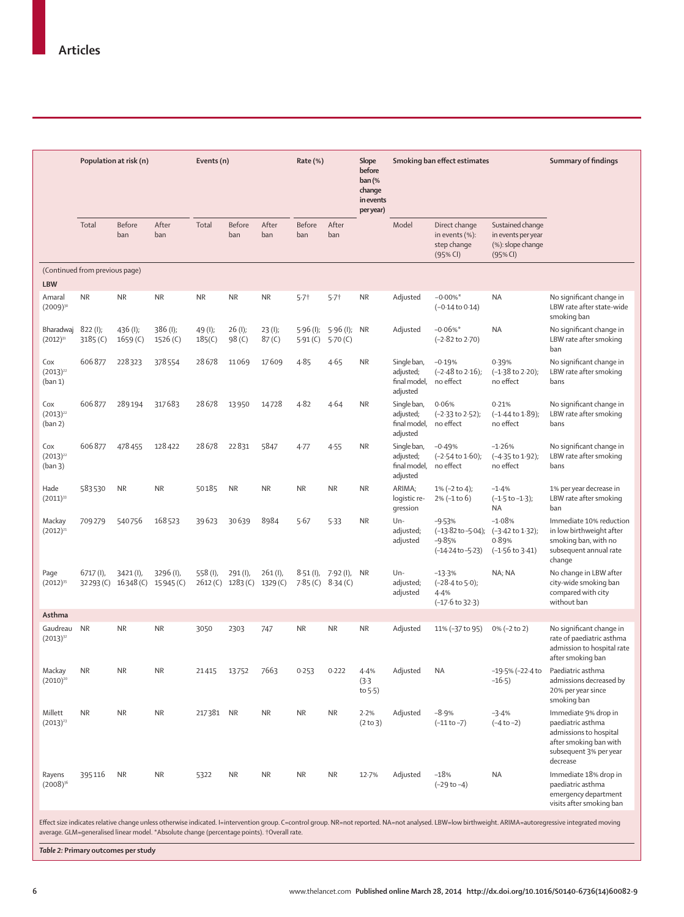|                                 |                                | Population at risk (n)                    |                          | Events (n)       |                                           |                             | Rate (%)         |                                               | Slope                                                  | Smoking ban effect estimates                         |                                                                                      | <b>Summary of findings</b>                                                      |                                                                                                                                     |
|---------------------------------|--------------------------------|-------------------------------------------|--------------------------|------------------|-------------------------------------------|-----------------------------|------------------|-----------------------------------------------|--------------------------------------------------------|------------------------------------------------------|--------------------------------------------------------------------------------------|---------------------------------------------------------------------------------|-------------------------------------------------------------------------------------------------------------------------------------|
|                                 |                                |                                           |                          |                  |                                           |                             |                  |                                               | before<br>$ban$ (%<br>change<br>in events<br>per year) |                                                      |                                                                                      |                                                                                 |                                                                                                                                     |
|                                 | Total                          | Before<br>ban                             | After<br>ban             | Total            | Before<br>ban                             | After<br>ban                | Before<br>ban    | After<br>ban                                  |                                                        | Model                                                | Direct change<br>in events (%):<br>step change<br>(95% CI)                           | Sustained change<br>in events per year<br>(%): slope change<br>(95% CI)         |                                                                                                                                     |
| <b>LBW</b>                      | (Continued from previous page) |                                           |                          |                  |                                           |                             |                  |                                               |                                                        |                                                      |                                                                                      |                                                                                 |                                                                                                                                     |
| Amaral<br>$(2009)^{30}$         | <b>NR</b>                      | <b>NR</b>                                 | <b>NR</b>                | <b>NR</b>        | <b>NR</b>                                 | <b>NR</b>                   | 5.7 <sup>†</sup> | $5.7+$                                        | <b>NR</b>                                              | Adjusted                                             | $-0.00\%$ *<br>$(-0.14 \text{ to } 0.14)$                                            | <b>NA</b>                                                                       | No significant change in<br>LBW rate after state-wide<br>smoking ban                                                                |
| Bharadwaj<br>$(2012)^{31}$      | 822 (I);<br>3185 (C)           | 436 (I);<br>1659 <sup>(C)</sup>           | $386$ (I);<br>1526 $(C)$ | 49(I);<br>185(C) | 26 (I);<br>98 <sub>(C)</sub>              | 23(1);<br>87 <sub>(C)</sub> | 5.91(C)          | $5.96$ (l); $5.96$ (l);<br>5.70(C)            | <b>NR</b>                                              | Adjusted                                             | $-0.06%$ *<br>$(-2.82 \text{ to } 2.70)$                                             | <b>NA</b>                                                                       | No significant change in<br>LBW rate after smoking<br>ban                                                                           |
| Cox<br>$(2013)^{22}$<br>(ban 1) | 606877                         | 228323                                    | 378554                   | 28678            | 11069                                     | 17609                       | 4.85             | 4.65                                          | NR                                                     | Single ban,<br>adjusted;<br>final model,<br>adjusted | $-0.19%$<br>$(-2.48 \text{ to } 2.16);$<br>no effect                                 | 0.39%<br>$(-1.38 \text{ to } 2.20);$<br>no effect                               | No significant change in<br>LBW rate after smoking<br>bans                                                                          |
| Cox<br>$(2013)^{22}$<br>(ban 2) | 606877                         | 289194                                    | 317683                   | 28678            | 13950                                     | 14728                       | 4.82             | 4.64                                          | <b>NR</b>                                              | Single ban,<br>adjusted;<br>final model,<br>adjusted | 0.06%<br>$(-2.33$ to $2.52)$ ;<br>no effect                                          | 0.21%<br>$(-1.44 \text{ to } 1.89);$<br>no effect                               | No significant change in<br>LBW rate after smoking<br>bans                                                                          |
| Cox<br>$(2013)^{22}$<br>(ban 3) | 606877                         | 478 455                                   | 128422                   | 28678            | 22831                                     | 5847                        | 4.77             | 4.55                                          | <b>NR</b>                                              | Single ban,<br>adjusted;<br>final model,<br>adjusted | $-0.49%$<br>$(-2.54 \text{ to } 1.60);$<br>no effect                                 | $-1.26%$<br>$(-4.35 \text{ to } 1.92);$<br>no effect                            | No significant change in<br>LBW rate after smoking<br>bans                                                                          |
| Hade<br>$(2011)^{33}$           | 583530                         | <b>NR</b>                                 | <b>NR</b>                | 50185            | <b>NR</b>                                 | <b>NR</b>                   | <b>NR</b>        | <b>NR</b>                                     | NR.                                                    | ARIMA;<br>logistic re-<br>gression                   | 1% (-2 to 4);<br>$2\% (-1)$ to 6)                                                    | $-1.4%$<br>$(-1.5 \text{ to } -1.3);$<br><b>NA</b>                              | 1% per year decrease in<br>LBW rate after smoking<br>ban                                                                            |
| Mackay<br>$(2012)^{21}$         | 709279                         | 540756                                    | 168523                   | 39623            | 30639                                     | 8984                        | 5.67             | 5.33                                          | NR.                                                    | Un-<br>adjusted;<br>adjusted                         | $-9.53%$<br>$(-13.82 \text{ to } -5.04)$ ;<br>-9.85%<br>$(-14.24 \text{ to } -5.23)$ | $-1.08%$<br>$(-3.42 \text{ to } 1.32)$ ;<br>0.89%<br>$(-1.56 \text{ to } 3.41)$ | Immediate 10% reduction<br>in low birthweight after<br>smoking ban, with no<br>subsequent annual rate<br>change                     |
| Page<br>$(2012)^{35}$           | $6717$ (I),                    | 3421(I),<br>32293 (C) 16348 (C) 15945 (C) | 3296 (I),                | 558 (I),         | $291 (I)$ ,<br>2612 (C) 1283 (C) 1329 (C) | $261 (I)$ ,                 |                  | $8.51$ (I), $7.92$ (I),<br>$7.85(C)$ 8.34 (C) | NR.                                                    | Un-<br>adjusted;<br>adjusted                         | $-13.3%$<br>$(-28.4 \text{ to } 5.0);$<br>4.4%<br>$(-17.6 \text{ to } 32.3)$         | NA; NA                                                                          | No change in LBW after<br>city-wide smoking ban<br>compared with city<br>without ban                                                |
| Asthma                          |                                |                                           |                          |                  |                                           |                             |                  |                                               |                                                        |                                                      |                                                                                      |                                                                                 |                                                                                                                                     |
| Gaudreau<br>$(2013)^{32}$       | <b>NR</b>                      | <b>NR</b>                                 | <b>NR</b>                | 3050             | 2303                                      | 747                         | <b>NR</b>        | <b>NR</b>                                     | <b>NR</b>                                              | Adjusted                                             | 11% (-37 to 95)                                                                      | $0\% (-2 \text{ to } 2)$                                                        | No significant change in<br>rate of paediatric asthma<br>admission to hospital rate<br>after smoking ban                            |
| Mackay<br>$(2010)^{20}$         | NR                             | <b>NR</b>                                 | <b>NR</b>                | 21415            | 13752                                     | 7663                        | 0.253            | 0.222                                         | 4.4%<br>(3.3)<br>to $5.5$ )                            | Adjusted                                             | <b>NA</b>                                                                            | -19.5% (-22.4 to<br>$-16.5$                                                     | Paediatric asthma<br>admissions decreased by<br>20% per year since<br>smoking ban                                                   |
| Millett<br>$(2013)^{23}$        | <b>NR</b>                      | <b>NR</b>                                 | <b>NR</b>                | 217381 NR        |                                           | <b>NR</b>                   | <b>NR</b>        | <b>NR</b>                                     | 2.2%<br>(2 to 3)                                       | Adjusted                                             | $-8.9%$<br>$(-11 to -7)$                                                             | $-3.4%$<br>$(-4 to -2)$                                                         | Immediate 9% drop in<br>paediatric asthma<br>admissions to hospital<br>after smoking ban with<br>subsequent 3% per year<br>decrease |
| Rayens<br>$(2008)^{36}$         | 395116                         | <b>NR</b>                                 | <b>NR</b>                | 5322             | NR                                        | <b>NR</b>                   | <b>NR</b>        | <b>NR</b>                                     | 12.7%                                                  | Adjusted                                             | $-18%$<br>$(-29 to -4)$                                                              | <b>NA</b>                                                                       | Immediate 18% drop in<br>paediatric asthma<br>emergency department<br>visits after smoking ban                                      |
|                                 |                                |                                           |                          |                  |                                           |                             |                  |                                               |                                                        |                                                      |                                                                                      |                                                                                 |                                                                                                                                     |

Effect size indicates relative change unless otherwise indicated. I=intervention group. C=control group. NR=not reported. NA=not analysed. LBW=low birthweight. ARIMA=autoregressive integrated moving average. GLM=generalised linear model. \*Absolute change (percentage points). †Overall rate.

*Table 2:* **Primary outcomes per study**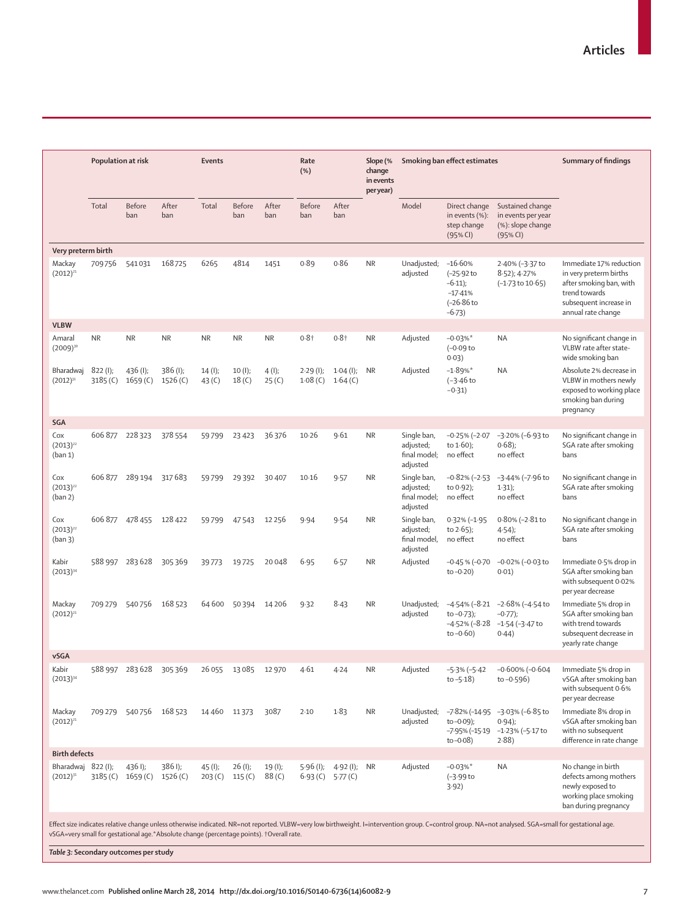|                                      | Population at risk    |                              |                         | <b>Events</b>        |                      |                             | Rate<br>(%)                      |                        | Slope (%<br>change<br>in events<br>per year) |                                                      | Smoking ban effect estimates                                                      | <b>Summary of findings</b>                                                                |                                                                                                                                               |
|--------------------------------------|-----------------------|------------------------------|-------------------------|----------------------|----------------------|-----------------------------|----------------------------------|------------------------|----------------------------------------------|------------------------------------------------------|-----------------------------------------------------------------------------------|-------------------------------------------------------------------------------------------|-----------------------------------------------------------------------------------------------------------------------------------------------|
|                                      | Total                 | Before<br>ban                | After<br>ban            | Total                | <b>Before</b><br>ban | After<br>ban                | Before<br>ban                    | After<br>ban           |                                              | Model                                                | Direct change<br>in events (%):<br>step change<br>(95% CI)                        | Sustained change<br>in events per year<br>(%): slope change<br>(95% CI)                   |                                                                                                                                               |
| Very preterm birth                   |                       |                              |                         |                      |                      |                             |                                  |                        |                                              |                                                      |                                                                                   |                                                                                           |                                                                                                                                               |
| Mackay<br>$(2012)^{21}$              | 709756                | 541031                       | 168725                  | 6265                 | 4814                 | 1451                        | 0.89                             | 0.86                   | <b>NR</b>                                    | Unadjusted;<br>adjusted                              | $-16.60%$<br>$(-25.92)$ to<br>$-6.11$ ;<br>$-17.41%$<br>$(-26.86)$ to<br>$-6.73)$ | 2.40% (-3.37 to<br>$8.52$ ); $4.27%$<br>$(-1.73 \text{ to } 10.65)$                       | Immediate 17% reduction<br>in very preterm births<br>after smoking ban, with<br>trend towards<br>subsequent increase in<br>annual rate change |
| <b>VLBW</b>                          |                       |                              |                         |                      |                      |                             |                                  |                        |                                              |                                                      |                                                                                   |                                                                                           |                                                                                                                                               |
| Amaral<br>$(2009)^{30}$<br>Bharadwaj | <b>NR</b><br>822 (I); | NR<br>$436$ (I);             | <b>NR</b><br>$386$ (I); | <b>NR</b><br>14 (I); | <b>NR</b><br>10(1);  | <b>NR</b><br>4(1);          | $0.8 +$<br>$2.29$ (l);           | $0.8 +$<br>$1.04$ (l); | <b>NR</b><br>NR.                             | Adjusted<br>Adjusted                                 | $-0.03%$ *<br>$(-0.09)$ to<br>0.03)<br>$-1.89%$ *                                 | <b>NA</b><br><b>NA</b>                                                                    | No significant change in<br>VLBW rate after state-<br>wide smoking ban<br>Absolute 2% decrease in                                             |
| $(2012)^{31}$                        | 3185 (C)              | 1659 (C)                     | 1526 $(C)$              | 43 $(C)$             | 18 <sub>(C)</sub>    | $25($ C)                    | 1.08 <sub>(C)</sub>              | 1.64(C)                |                                              |                                                      | $(-3.46)$<br>$-0.31$ )                                                            |                                                                                           | VLBW in mothers newly<br>exposed to working place<br>smoking ban during<br>pregnancy                                                          |
| <b>SGA</b>                           |                       |                              |                         |                      |                      |                             |                                  |                        |                                              |                                                      |                                                                                   |                                                                                           |                                                                                                                                               |
| Cox<br>$(2013)^{22}$<br>(ban 1)      |                       | 606 877 228 323              | 378 554                 | 59799                | 23 4 23              | 36376                       | $10-26$                          | 9.61                   | <b>NR</b>                                    | Single ban,<br>adjusted;<br>final model;<br>adjusted | $-0.25\%$ (-2.07<br>to $1.60$ );<br>no effect                                     | -3.20% (-6.93 to<br>$0.68$ ;<br>no effect                                                 | No significant change in<br>SGA rate after smoking<br>bans                                                                                    |
| Cox<br>$(2013)^{22}$<br>(ban 2)      |                       | 606 877 289 194              | 317 683                 | 59799                | 29 3 9 2             | 30 407                      | 10.16                            | 9.57                   | <b>NR</b>                                    | Single ban,<br>adjusted;<br>final model;<br>adjusted | $-0.82%(-2.53)$<br>to $0.92$ );<br>no effect                                      | -3.44% (-7.96 to<br>$1.31$ );<br>no effect                                                | No significant change in<br>SGA rate after smoking<br>bans                                                                                    |
| Cox<br>$(2013)^{22}$<br>(ban 3)      |                       | 606 877 478 455 128 422      |                         | 59799                | 47543                | 12 2 5 6                    | 9.94                             | 9.54                   | <b>NR</b>                                    | Single ban,<br>adjusted;<br>final model,<br>adjusted | $0.32\%(-1.95)$<br>to $2.65$ );<br>no effect                                      | 0.80% (-2.81 to<br>4.54<br>no effect                                                      | No significant change in<br>SGA rate after smoking<br>bans                                                                                    |
| Kabir<br>$(2013)^{34}$               |                       | 588 997 283 628              | 305369                  | 39773                | 19725                | 20 048                      | 6.95                             | 6.57                   | <b>NR</b>                                    | Adjusted                                             | $-0.45$ % ( $-0.70$<br>to $-0.20$ )                                               | $-0.02\%$ ( $-0.03$ to<br>0.01)                                                           | Immediate 0.5% drop in<br>SGA after smoking ban<br>with subsequent 0.02%<br>per year decrease                                                 |
| Mackay<br>$(2012)^{21}$              | 709 279               | 540756                       | 168 523                 | 64 600               | 50394                | 14 2 0 6                    | 9.32                             | 8.43                   | <b>NR</b>                                    | Unadjusted;<br>adjusted                              | to $-0.73$ );<br>$-4.52%(-8.28)$<br>to $-0.60$ )                                  | $-4.54\%$ ( $-8.21$ $-2.68\%$ ( $-4.54$ to<br>$-0.77$ );<br>$-1.54$ ( $-3.47$ to<br>0.44) | Immediate 5% drop in<br>SGA after smoking ban<br>with trend towards<br>subsequent decrease in<br>yearly rate change                           |
| vSGA                                 |                       |                              |                         |                      |                      |                             |                                  |                        |                                              |                                                      |                                                                                   |                                                                                           |                                                                                                                                               |
| Kabir<br>$(2013)^{34}$               |                       | 588 997 283 628 305 369      |                         |                      | 26 055 13 085 12 970 |                             | 4.61                             | 4.24                   | <b>NR</b>                                    | Adjusted                                             | $-5.3% (-5.42)$<br>to $-5.18$ )                                                   | $-0.600\%$ ( $-0.604$ )<br>to-0.596)                                                      | Immediate 5% drop in<br>vSGA after smoking ban<br>with subsequent 0.6%<br>per year decrease                                                   |
| Mackay<br>$(2012)^{21}$              |                       | 709 279 540 756 168 523      |                         | 14 460 11 373        |                      | 3087                        | 2.10                             | 1.83                   | <b>NR</b>                                    | Unadjusted;<br>adjusted                              | -782% (-1495<br>to-0.09);<br>$-7.95\%(-15.19)$<br>$to -0.08$ )                    | −3·03% (−6·85 to<br>0.94);<br>$-1.23%$ (-5.17 to<br>$2.88$ )                              | Immediate 8% drop in<br>vSGA after smoking ban<br>with no subsequent<br>difference in rate change                                             |
| <b>Birth defects</b>                 |                       |                              |                         |                      |                      |                             |                                  |                        |                                              |                                                      |                                                                                   |                                                                                           |                                                                                                                                               |
| Bharadwaj 822 (I);<br>$(2012)^{31}$  |                       | 436 I);<br>3185 (C) 1659 (C) | 3861;<br>1526 $(C)$     | 45 (I);<br>203 (C)   | 26 (I);<br>115 $(C)$ | 19(1);<br>88 <sub>(C)</sub> | $5.96$ (l);<br>6.93 (C) 5.77 (C) | 4.92 (I); NR           |                                              | Adjusted                                             | $-0.03%$ *<br>$(-3.99)$ to<br>3.92)                                               | <b>NA</b>                                                                                 | No change in birth<br>defects among mothers<br>newly exposed to<br>working place smoking<br>ban during pregnancy                              |

ot reported. VLBW=very low birthweight. I=intervention group. C=control group. NA=not analysed. SGA=small for ge vSGA=very small for gestational age.\*Absolute change (percentage points). †Overall rate.

*Table 3:* **Secondary outcomes per study**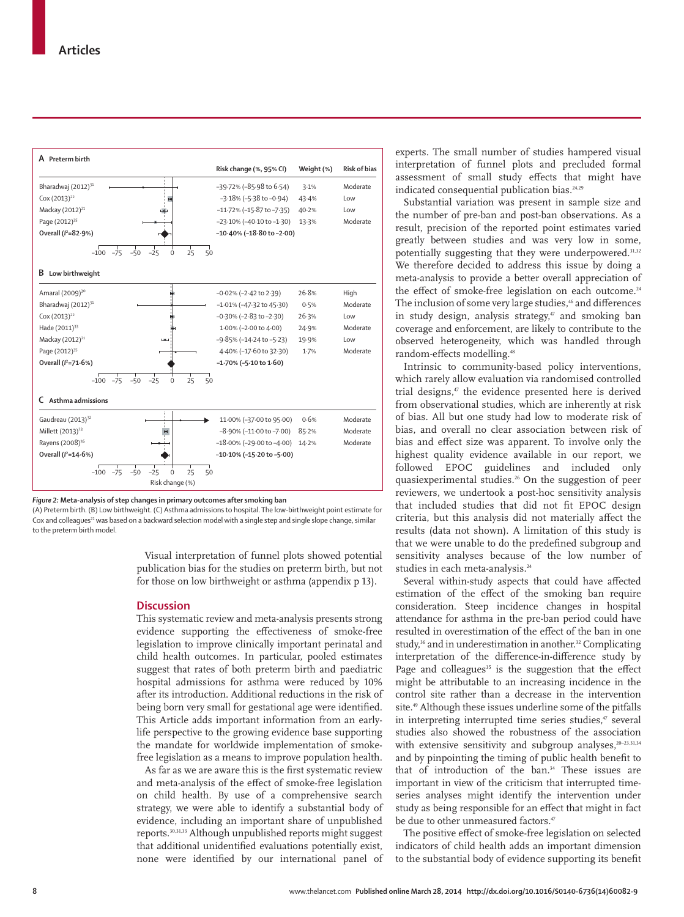

*Figure 2:* **Meta-analysis of step changes in primary outcomes after smoking ban**

(A) Preterm birth. (B) Low birthweight. (C) Asthma admissions to hospital. The low-birthweight point estimate for Cox and colleagues<sup>22</sup> was based on a backward selection model with a single step and single slope change, similar to the preterm birth model.

> Visual interpretation of funnel plots showed potential publication bias for the studies on preterm birth, but not for those on low birthweight or asthma (appendix p 13).

## **Discussion**

This systematic review and meta-analysis presents strong evidence supporting the effectiveness of smoke-free legislation to improve clinically important perinatal and child health outcomes. In particular, pooled estimates suggest that rates of both preterm birth and paediatric hospital admissions for asthma were reduced by 10% after its introduction. Additional reductions in the risk of being born very small for gestational age were identified. This Article adds important information from an earlylife perspective to the growing evidence base supporting the mandate for worldwide implementation of smokefree legislation as a means to improve population health.

As far as we are aware this is the first systematic review and meta-analysis of the effect of smoke-free legislation on child health. By use of a comprehensive search strategy, we were able to identify a substantial body of evidence, including an important share of unpublished reports.30,31,33 Although unpublished reports might suggest that additional unidentified evaluations potentially exist, none were identified by our international panel of experts. The small number of studies hampered visual interpretation of funnel plots and precluded formal assessment of small study effects that might have indicated consequential publication bias.<sup>24,29</sup>

Substantial variation was present in sample size and the number of pre-ban and post-ban observations. As a result, precision of the reported point estimates varied greatly between studies and was very low in some, potentially suggesting that they were underpowered.<sup>31,32</sup> We therefore decided to address this issue by doing a meta-analysis to provide a better overall appreciation of the effect of smoke-free legislation on each outcome.<sup>24</sup> The inclusion of some very large studies,<sup>46</sup> and differences in study design, analysis strategy, $\alpha$  and smoking ban coverage and enforcement, are likely to contribute to the observed heterogeneity, which was handled through random-effects modelling.<sup>48</sup>

Intrinsic to community-based policy interventions, which rarely allow evaluation via randomised controlled trial designs,<sup>47</sup> the evidence presented here is derived from observational studies, which are inherently at risk of bias. All but one study had low to moderate risk of bias, and overall no clear association between risk of bias and effect size was apparent. To involve only the highest quality evidence available in our report, we followed EPOC guidelines and included only quasiexperimental studies.26 On the suggestion of peer reviewers, we undertook a post-hoc sensitivity analysis that included studies that did not fit EPOC design criteria, but this analysis did not materially affect the results (data not shown). A limitation of this study is that we were unable to do the predefined subgroup and sensitivity analyses because of the low number of studies in each meta-analysis.<sup>24</sup>

Several within-study aspects that could have affected estimation of the effect of the smoking ban require consideration. Steep incidence changes in hospital attendance for asthma in the pre-ban period could have resulted in overestimation of the effect of the ban in one study,<sup>36</sup> and in underestimation in another.<sup>32</sup> Complicating interpretation of the difference-in-difference study by Page and colleagues<sup>35</sup> is the suggestion that the effect might be attributable to an increasing incidence in the control site rather than a decrease in the intervention site.49 Although these issues underline some of the pitfalls in interpreting interrupted time series studies,<sup>47</sup> several studies also showed the robustness of the association with extensive sensitivity and subgroup analyses,  $20-23,31,34$ and by pinpointing the timing of public health benefit to that of introduction of the ban.<sup>34</sup> These issues are important in view of the criticism that interrupted timeseries analyses might identify the intervention under study as being responsible for an effect that might in fact be due to other unmeasured factors.<sup>47</sup>

The positive effect of smoke-free legislation on selected indicators of child health adds an important dimension to the substantial body of evidence supporting its benefit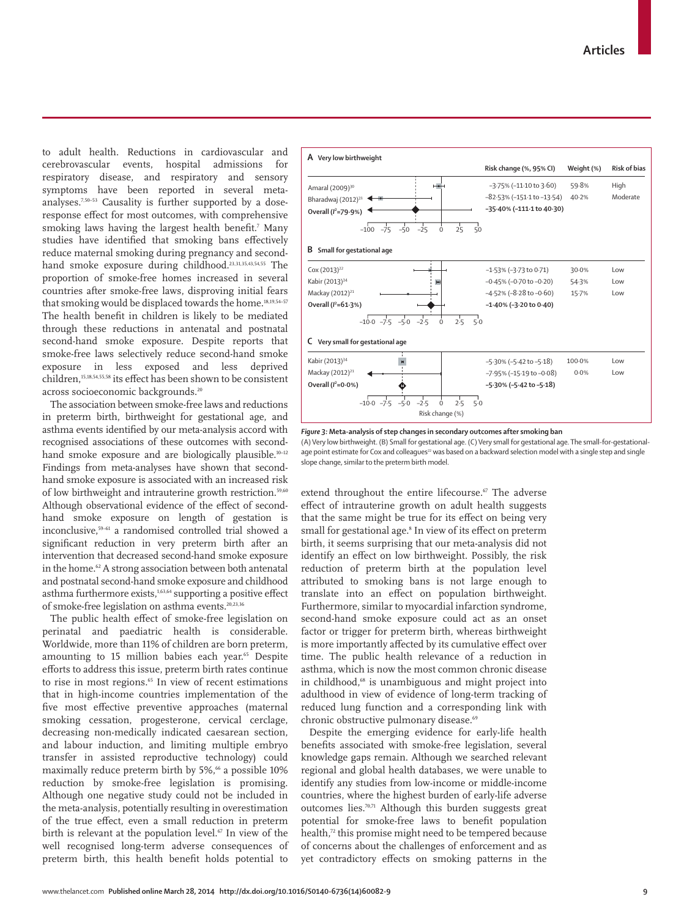to adult health. Reductions in cardiovascular and cerebrovascular events, hospital admissions for respiratory disease, and respiratory and sensory symptoms have been reported in several metaanalyses.7,50–53 Causality is further supported by a doseresponse effect for most outcomes, with comprehensive smoking laws having the largest health benefit.<sup>7</sup> Many studies have identified that smoking bans effectively reduce maternal smoking during pregnancy and secondhand smoke exposure during childhood.23,31,35,43,54,55 The proportion of smoke-free homes increased in several countries after smoke-free laws, disproving initial fears that smoking would be displaced towards the home.<sup>18,19,54-57</sup> The health benefit in children is likely to be mediated through these reductions in antenatal and postnatal second-hand smoke exposure. Despite reports that smoke-free laws selectively reduce second-hand smoke exposure in less exposed and less deprived children,<sup>15,18,54,55,58</sup> its effect has been shown to be consistent across socioeconomic backgrounds.<sup>20</sup>

The association between smoke-free laws and reductions in preterm birth, birthweight for gestational age, and asthma events identified by our meta-analysis accord with recognised associations of these outcomes with secondhand smoke exposure and are biologically plausible.<sup>10-12</sup> Findings from meta-analyses have shown that secondhand smoke exposure is associated with an increased risk of low birthweight and intrauterine growth restriction.<sup>59,60</sup> Although observational evidence of the effect of secondhand smoke exposure on length of gestation is inconclusive,59–61 a randomised controlled trial showed a significant reduction in very preterm birth after an intervention that decreased second-hand smoke exposure in the home.62 A strong association between both antenatal and postnatal second-hand smoke exposure and childhood asthma furthermore exists,<sup>1,63,64</sup> supporting a positive effect of smoke-free legislation on asthma events.20,23,36

The public health effect of smoke-free legislation on perinatal and paediatric health is considerable. Worldwide, more than 11% of children are born preterm, amounting to 15 million babies each year.<sup>65</sup> Despite efforts to address this issue, preterm birth rates continue to rise in most regions.<sup>65</sup> In view of recent estimations that in high-income countries implementation of the five most effective preventive approaches (maternal smoking cessation, progesterone, cervical cerclage, decreasing non-medically indicated caesarean section, and labour induction, and limiting multiple embryo transfer in assisted reproductive technology) could maximally reduce preterm birth by  $5\%$ ,<sup>66</sup> a possible  $10\%$ reduction by smoke-free legislation is promising. Although one negative study could not be included in the meta-analysis, potentially resulting in overestimation of the true effect, even a small reduction in preterm birth is relevant at the population level.<sup>67</sup> In view of the well recognised long-term adverse consequences of preterm birth, this health benefit holds potential to



*Figure 3:* **Meta-analysis of step changes in secondary outcomes after smoking ban** (A) Very low birthweight. (B) Small for gestational age. (C) Very small for gestational age. The small-for-gestationalage point estimate for Cox and colleagues<sup>22</sup> was based on a backward selection model with a single step and single slope change, similar to the preterm birth model.

extend throughout the entire lifecourse.<sup>67</sup> The adverse effect of intrauterine growth on adult health suggests that the same might be true for its effect on being very small for gestational age.<sup>8</sup> In view of its effect on preterm birth, it seems surprising that our meta-analysis did not identify an effect on low birthweight. Possibly, the risk reduction of preterm birth at the population level attributed to smoking bans is not large enough to translate into an effect on population birthweight. Furthermore, similar to myocardial infarction syndrome, second-hand smoke exposure could act as an onset factor or trigger for preterm birth, whereas birthweight is more importantly affected by its cumulative effect over time. The public health relevance of a reduction in asthma, which is now the most common chronic disease in childhood,<sup>68</sup> is unambiguous and might project into adulthood in view of evidence of long-term tracking of reduced lung function and a corresponding link with chronic obstructive pulmonary disease.<sup>69</sup>

Despite the emerging evidence for early-life health benefits associated with smoke-free legislation, several knowledge gaps remain. Although we searched relevant regional and global health databases, we were unable to identify any studies from low-income or middle-income countries, where the highest burden of early-life adverse outcomes lies.70,71 Although this burden suggests great potential for smoke-free laws to benefit population health,<sup>72</sup> this promise might need to be tempered because of concerns about the challenges of enforcement and as yet contradictory effects on smoking patterns in the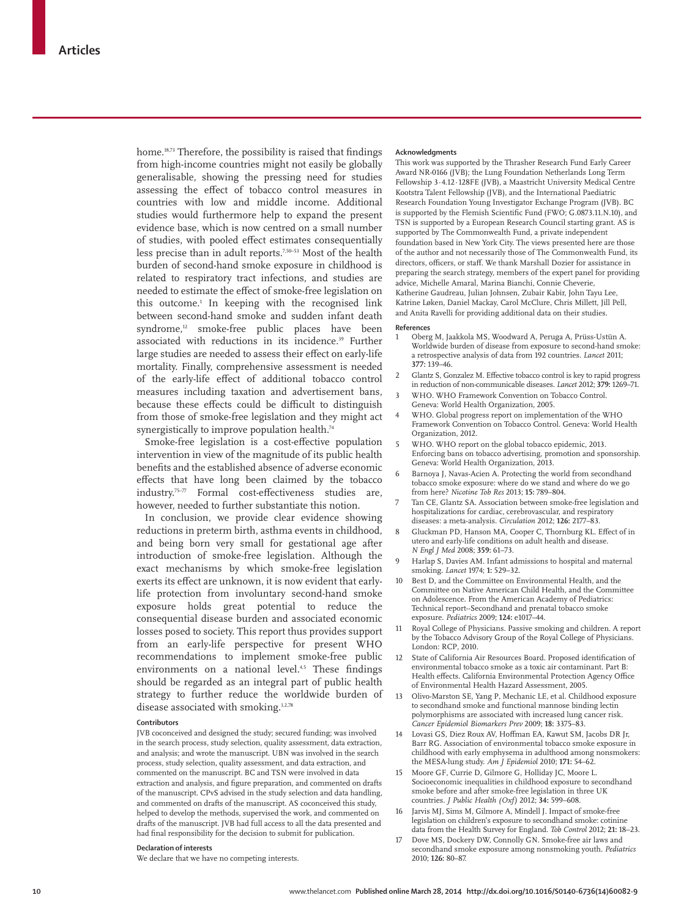home.<sup>18,73</sup> Therefore, the possibility is raised that findings from high-income countries might not easily be globally generalisable, showing the pressing need for studies assessing the effect of tobacco control measures in countries with low and middle income. Additional studies would furthermore help to expand the present evidence base, which is now centred on a small number of studies, with pooled effect estimates consequentially less precise than in adult reports.7,50–53 Most of the health burden of second-hand smoke exposure in childhood is related to respiratory tract infections, and studies are needed to estimate the effect of smoke-free legislation on this outcome.1 In keeping with the recognised link between second-hand smoke and sudden infant death syndrome,<sup>12</sup> smoke-free public places have been associated with reductions in its incidence.39 Further large studies are needed to assess their effect on early-life mortality. Finally, comprehensive assessment is needed of the early-life effect of additional tobacco control measures including taxation and advertisement bans, because these effects could be difficult to distinguish from those of smoke-free legislation and they might act synergistically to improve population health.<sup>74</sup>

Smoke-free legislation is a cost-effective population intervention in view of the magnitude of its public health benefits and the established absence of adverse economic effects that have long been claimed by the tobacco industry.<sup>75-77</sup> Formal cost-effectiveness studies are, however, needed to further substantiate this notion.

In conclusion, we provide clear evidence showing reductions in preterm birth, asthma events in childhood, and being born very small for gestational age after introduction of smoke-free legislation. Although the exact mechanisms by which smoke-free legislation exerts its effect are unknown, it is now evident that earlylife protection from involuntary second-hand smoke exposure holds great potential to reduce the consequential disease burden and associated economic losses posed to society. This report thus provides support from an early-life perspective for present WHO recommendations to implement smoke-free public environments on a national level.<sup>4,5</sup> These findings should be regarded as an integral part of public health strategy to further reduce the worldwide burden of disease associated with smoking.<sup>1,2,78</sup>

#### **Contributors**

JVB coconceived and designed the study; secured funding; was involved in the search process, study selection, quality assessment, data extraction, and analysis; and wrote the manuscript. UBN was involved in the search process, study selection, quality assessment, and data extraction, and commented on the manuscript. BC and TSN were involved in data extraction and analysis, and figure preparation, and commented on drafts of the manuscript. CPvS advised in the study selection and data handling, and commented on drafts of the manuscript. AS coconceived this study, helped to develop the methods, supervised the work, and commented on drafts of the manuscript. JVB had full access to all the data presented and had final responsibility for the decision to submit for publication.

#### **Declaration of interests**

We declare that we have no competing interests.

#### **Acknowledgments**

This work was supported by the Thrasher Research Fund Early Career Award NR-0166 (JVB); the Lung Foundation Netherlands Long Term Fellowship 3·4.12·128FE (JVB), a Maastricht University Medical Centre Kootstra Talent Fellowship (JVB), and the International Paediatric Research Foundation Young Investigator Exchange Program (JVB). BC is supported by the Flemish Scientific Fund (FWO; G.0873.11.N.10), and TSN is supported by a European Research Council starting grant. AS is supported by The Commonwealth Fund, a private independent foundation based in New York City. The views presented here are those of the author and not necessarily those of The Commonwealth Fund, its directors, officers, or staff. We thank Marshall Dozier for assistance in preparing the search strategy, members of the expert panel for providing advice, Michelle Amaral, Marina Bianchi, Connie Cheverie, Katherine Gaudreau, Julian Johnsen, Zubair Kabir, John Tayu Lee, Katrine Løken, Daniel Mackay, Carol McClure, Chris Millett, Jill Pell, and Anita Ravelli for providing additional data on their studies.

#### **References**

- 1 Oberg M, Jaakkola MS, Woodward A, Peruga A, Prüss-Ustün A. Worldwide burden of disease from exposure to second-hand smoke: a retrospective analysis of data from 192 countries. *Lancet* 2011; **377:** 139–46.
- 2 Glantz S, Gonzalez M. Effective tobacco control is key to rapid progress in reduction of non-communicable diseases. *Lancet* 2012; **379:** 1269–71.
- WHO. WHO Framework Convention on Tobacco Control. Geneva: World Health Organization, 2005.
- WHO. Global progress report on implementation of the WHO Framework Convention on Tobacco Control. Geneva: World Health Organization, 2012.
- WHO. WHO report on the global tobacco epidemic, 2013. Enforcing bans on tobacco advertising, promotion and sponsorship. Geneva: World Health Organization, 2013.
- Barnoya J, Navas-Acien A. Protecting the world from secondhand tobacco smoke exposure: where do we stand and where do we go from here? *Nicotine Tob Res* 2013; **15:** 789–804.
- 7 Tan CE, Glantz SA. Association between smoke-free legislation and hospitalizations for cardiac, cerebrovascular, and respiratory diseases: a meta-analysis. *Circulation* 2012; **126:** 2177–83.
- Gluckman PD, Hanson MA, Cooper C, Thornburg KL. Effect of in utero and early-life conditions on adult health and disease. *N Engl J Med* 2008; **359:** 61–73.
- Harlap S, Davies AM. Infant admissions to hospital and maternal smoking. *Lancet* 1974; **1:** 529–32.
- 10 Best D, and the Committee on Environmental Health, and the Committee on Native American Child Health, and the Committee on Adolescence. From the American Academy of Pediatrics: Technical report--Secondhand and prenatal tobacco smoke exposure. *Pediatrics* 2009; **124:** e1017–44.
- 11 Royal College of Physicians. Passive smoking and children. A report by the Tobacco Advisory Group of the Royal College of Physicians. London: RCP, 2010.
- 12 State of California Air Resources Board. Proposed identification of environmental tobacco smoke as a toxic air contaminant. Part B: Health effects. California Environmental Protection Agency Office of Environmental Health Hazard Assessment, 2005.
- 13 Olivo-Marston SE, Yang P, Mechanic LE, et al. Childhood exposure to secondhand smoke and functional mannose binding lectin polymorphisms are associated with increased lung cancer risk. *Cancer Epidemiol Biomarkers Prev* 2009; **18:** 3375–83.
- 14 Lovasi GS, Diez Roux AV, Hoffman EA, Kawut SM, Jacobs DR Jr, Barr RG. Association of environmental tobacco smoke exposure in childhood with early emphysema in adulthood among nonsmokers: the MESA-lung study. *Am J Epidemiol* 2010; **171:** 54–62.
- 15 Moore GF, Currie D, Gilmore G, Holliday JC, Moore L. Socioeconomic inequalities in childhood exposure to secondhand smoke before and after smoke-free legislation in three UK countries. *J Public Health (Oxf)* 2012; **34:** 599–608.
- 16 Jarvis MJ, Sims M, Gilmore A, Mindell J. Impact of smoke-free legislation on children's exposure to secondhand smoke: cotinine data from the Health Survey for England. *Tob Control* 2012; **21:** 18–23.
- 17 Dove MS, Dockery DW, Connolly GN. Smoke-free air laws and secondhand smoke exposure among nonsmoking youth. *Pediatrics* 2010; **126:** 80–87.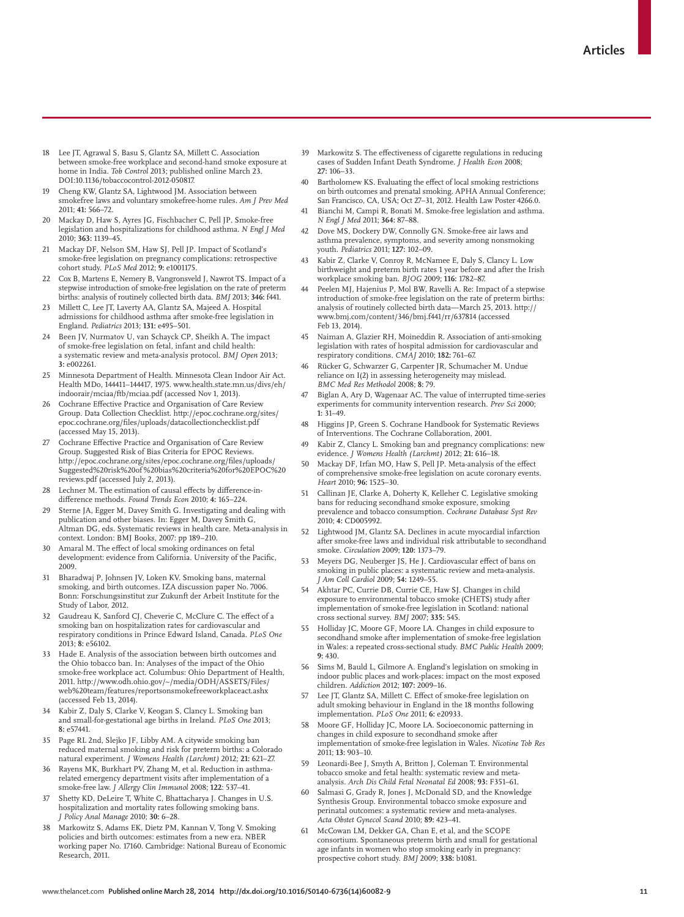- 18 Lee JT, Agrawal S, Basu S, Glantz SA, Millett C. Association between smoke-free workplace and second-hand smoke exposure at home in India. *Tob Control* 2013; published online March 23. DOI:10.1136/tobaccocontrol-2012-050817.
- 19 Cheng KW, Glantz SA, Lightwood JM. Association between smokefree laws and voluntary smokefree-home rules. *Am J Prev Med* 2011; **41:** 566–72.
- 20 Mackay D, Haw S, Ayres JG, Fischbacher C, Pell JP. Smoke-free legislation and hospitalizations for childhood asthma. *N Engl J Med* 2010; **363:** 1139–45.
- 21 Mackay DF, Nelson SM, Haw SJ, Pell JP. Impact of Scotland's smoke-free legislation on pregnancy complications: retrospective cohort study. *PLoS Med* 2012; **9:** e1001175.
- 22 Cox B, Martens E, Nemery B, Vangronsveld J, Nawrot TS. Impact of a stepwise introduction of smoke-free legislation on the rate of preterm births: analysis of routinely collected birth data. *BMJ* 2013; **346:** f441.
- 23 Millett C, Lee JT, Laverty AA, Glantz SA, Majeed A. Hospital admissions for childhood asthma after smoke-free legislation in England. *Pediatrics* 2013; **131:** e495–501.
- 24 Been JV, Nurmatov U, van Schayck CP, Sheikh A. The impact of smoke-free legislation on fetal, infant and child health: a systematic review and meta-analysis protocol. *BMJ Open* 2013; **3:** e002261.
- 25 Minnesota Department of Health. Minnesota Clean Indoor Air Act. Health MDo, 144411−144417, 1975. www.health.state.mn.us/divs/eh/ indoorair/mciaa/ftb/mciaa.pdf (accessed Nov 1, 2013).
- 26 Cochrane Effective Practice and Organisation of Care Review Group. Data Collection Checklist. http://epoc.cochrane.org/sites/ epoc.cochrane.org/files/uploads/datacollectionchecklist.pdf (accessed May 15, 2013).
- 27 Cochrane Effective Practice and Organisation of Care Review Group. Suggested Risk of Bias Criteria for EPOC Reviews. http://epoc.cochrane.org/sites/epoc.cochrane.org/files/uploads/ Suggested%20risk%20of %20bias%20criteria%20for%20EPOC%20 reviews.pdf (accessed July 2, 2013).
- 28 Lechner M. The estimation of causal effects by difference-indiff erence methods. *Found Trends Econ* 2010; **4:** 165–224.
- Sterne JA, Egger M, Davey Smith G. Investigating and dealing with publication and other biases. In: Egger M, Davey Smith G, Altman DG, eds. Systematic reviews in health care. Meta-analysis in context. London: BMJ Books, 2007: pp 189−210.
- Amaral M. The effect of local smoking ordinances on fetal development: evidence from California. University of the Pacific, 2009.
- 31 Bharadwaj P, Johnsen JV, Loken KV. Smoking bans, maternal smoking, and birth outcomes. IZA discussion paper No. 7006. Bonn: Forschungsinstitut zur Zukunft der Arbeit Institute for the Study of Labor, 2012.
- 32 Gaudreau K, Sanford CJ, Cheverie C, McClure C. The effect of a smoking ban on hospitalization rates for cardiovascular and respiratory conditions in Prince Edward Island, Canada. *PLoS One* 2013; **8:** e56102.
- 33 Hade E. Analysis of the association between birth outcomes and the Ohio tobacco ban. In: Analyses of the impact of the Ohio smoke-free workplace act. Columbus: Ohio Department of Health, 2011. http://www.odh.ohio.gov/~/media/ODH/ASSETS/Files/ web%20team/features/reportsonsmokefreeworkplaceact.ashx (accessed Feb 13, 2014).
- 34 Kabir Z, Daly S, Clarke V, Keogan S, Clancy L. Smoking ban and small-for-gestational age births in Ireland. *PLoS One* 2013; **8:** e57441.
- 35 Page RL 2nd, Slejko JF, Libby AM. A citywide smoking ban reduced maternal smoking and risk for preterm births: a Colorado natural experiment. *J Womens Health (Larchmt)* 2012; **21:** 621–27.
- Rayens MK, Burkhart PV, Zhang M, et al. Reduction in asthmarelated emergency department visits after implementation of a smoke-free law. *J Allergy Clin Immunol* 2008; **122**: 537–41.
- 37 Shetty KD, DeLeire T, White C, Bhattacharya J. Changes in U.S. hospitalization and mortality rates following smoking bans. *J Policy Anal Manage* 2010; **30:** 6–28.
- 38 Markowitz S, Adams EK, Dietz PM, Kannan V, Tong V. Smoking policies and birth outcomes: estimates from a new era. NBER working paper No. 17160. Cambridge: National Bureau of Economic Research, 2011.
- 39 Markowitz S. The effectiveness of cigarette regulations in reducing cases of Sudden Infant Death Syndrome. *J Health Econ* 2008; **27:** 106–33.
- 40 Bartholomew KS. Evaluating the effect of local smoking restrictions on birth outcomes and prenatal smoking. APHA Annual Conference; San Francisco, CA, USA; Oct 27–31, 2012. Health Law Poster 4266.0.
- Bianchi M, Campi R, Bonati M. Smoke-free legislation and asthma. *N Engl J Med* 2011; **364:** 87–88.
- 42 Dove MS, Dockery DW, Connolly GN. Smoke-free air laws and asthma prevalence, symptoms, and severity among nonsmoking youth. *Pediatrics* 2011; **127:** 102–09.
- 43 Kabir Z, Clarke V, Conroy R, McNamee E, Daly S, Clancy L. Low birthweight and preterm birth rates 1 year before and after the Irish workplace smoking ban. *BJOG* 2009; **116:** 1782–87.
- Peelen MJ, Hajenius P, Mol BW, Ravelli A. Re: Impact of a stepwise introduction of smoke-free legislation on the rate of preterm births: analysis of routinely collected birth data—March 25, 2013. http:// www.bmj.com/content/346/bmj.f441/rr/637814 (accessed Feb 13, 2014).
- 45 Naiman A, Glazier RH, Moineddin R. Association of anti-smoking legislation with rates of hospital admission for cardiovascular and respiratory conditions. *CMAJ* 2010; **182:** 761–67.
- 46 Rücker G, Schwarzer G, Carpenter JR, Schumacher M. Undue reliance on I(2) in assessing heterogeneity may mislead. *BMC Med Res Methodol* 2008; **8:** 79.
- 47 Biglan A, Ary D, Wagenaar AC. The value of interrupted time-series experiments for community intervention research. *Prev Sci* 2000; **1:** 31–49.
- Higgins JP, Green S. Cochrane Handbook for Systematic Reviews of Interventions. The Cochrane Collaboration, 2001.
- 49 Kabir Z, Clancy L. Smoking ban and pregnancy complications: new evidence. *J Womens Health (Larchmt)* 2012; **21:** 616–18.
- Mackay DF, Irfan MO, Haw S, Pell JP. Meta-analysis of the effect of comprehensive smoke-free legislation on acute coronary events. *Heart* 2010; **96:** 1525–30.
- 51 Callinan JE, Clarke A, Doherty K, Kelleher C. Legislative smoking bans for reducing secondhand smoke exposure, smoking prevalence and tobacco consumption. *Cochrane Database Syst Rev* 2010; **4:** CD005992.
- 52 Lightwood JM, Glantz SA. Declines in acute myocardial infarction after smoke-free laws and individual risk attributable to secondhand smoke. *Circulation* 2009; **120:** 1373–79.
- 53 Meyers DG, Neuberger JS, He J. Cardiovascular effect of bans on smoking in public places: a systematic review and meta-analysis. *J Am Coll Cardiol* 2009; **54:** 1249–55.
- 54 Akhtar PC, Currie DB, Currie CE, Haw SJ. Changes in child exposure to environmental tobacco smoke (CHETS) study after implementation of smoke-free legislation in Scotland: national cross sectional survey. *BMJ* 2007; **335:** 545.
- 55 Holliday JC, Moore GF, Moore LA. Changes in child exposure to secondhand smoke after implementation of smoke-free legislation in Wales: a repeated cross-sectional study. *BMC Public Health* 2009; **9:** 430.
- 56 Sims M, Bauld L, Gilmore A. England's legislation on smoking in indoor public places and work-places: impact on the most exposed children. *Addiction* 2012; **107:** 2009–16.
- Lee JT, Glantz SA, Millett C. Effect of smoke-free legislation on adult smoking behaviour in England in the 18 months following implementation. *PLoS One* 2011; **6:** e20933.
- 58 Moore GF, Holliday JC, Moore LA. Socioeconomic patterning in changes in child exposure to secondhand smoke after implementation of smoke-free legislation in Wales. *Nicotine Tob Res* 2011; **13:** 903–10.
- Leonardi-Bee J, Smyth A, Britton J, Coleman T. Environmental tobacco smoke and fetal health: systematic review and metaanalysis. *Arch Dis Child Fetal Neonatal Ed* 2008; **93:** F351–61.
- Salmasi G, Grady R, Jones J, McDonald SD, and the Knowledge Synthesis Group. Environmental tobacco smoke exposure and perinatal outcomes: a systematic review and meta-analyses. *Acta Obstet Gynecol Scand* 2010; **89:** 423–41.
- McCowan LM, Dekker GA, Chan E, et al, and the SCOPE consortium. Spontaneous preterm birth and small for gestational age infants in women who stop smoking early in pregnancy: prospective cohort study. *BMJ* 2009; **338:** b1081.